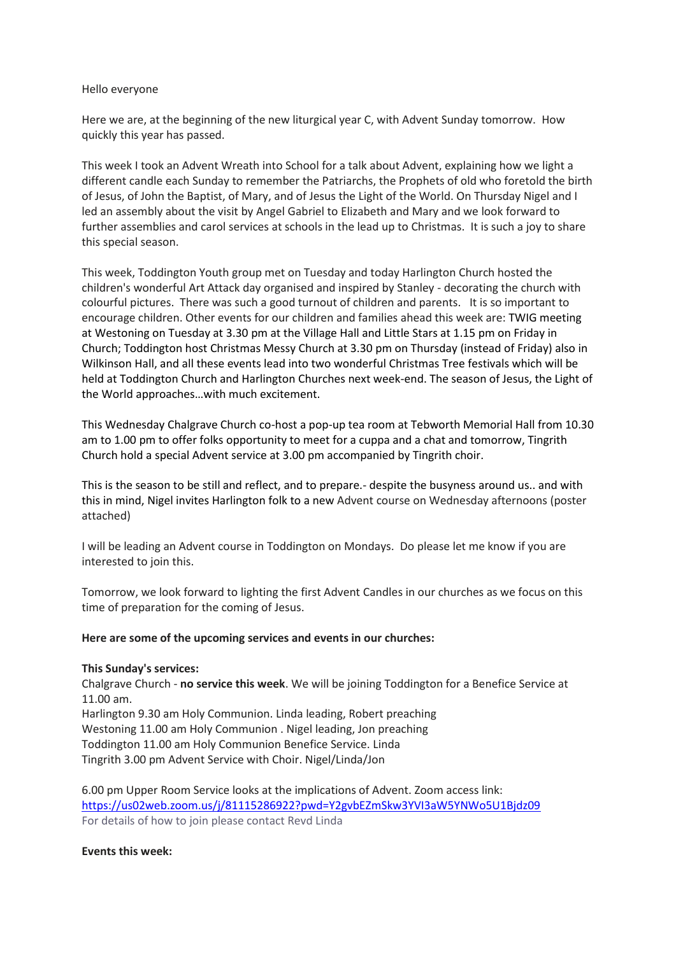#### Hello everyone

Here we are, at the beginning of the new liturgical year C, with Advent Sunday tomorrow. How quickly this year has passed.

This week I took an Advent Wreath into School for a talk about Advent, explaining how we light a different candle each Sunday to remember the Patriarchs, the Prophets of old who foretold the birth of Jesus, of John the Baptist, of Mary, and of Jesus the Light of the World. On Thursday Nigel and I led an assembly about the visit by Angel Gabriel to Elizabeth and Mary and we look forward to further assemblies and carol services at schools in the lead up to Christmas. It is such a joy to share this special season.

This week, Toddington Youth group met on Tuesday and today Harlington Church hosted the children's wonderful Art Attack day organised and inspired by Stanley - decorating the church with colourful pictures. There was such a good turnout of children and parents. It is so important to encourage children. Other events for our children and families ahead this week are: TWIG meeting at Westoning on Tuesday at 3.30 pm at the Village Hall and Little Stars at 1.15 pm on Friday in Church; Toddington host Christmas Messy Church at 3.30 pm on Thursday (instead of Friday) also in Wilkinson Hall, and all these events lead into two wonderful Christmas Tree festivals which will be held at Toddington Church and Harlington Churches next week-end. The season of Jesus, the Light of the World approaches…with much excitement.

This Wednesday Chalgrave Church co-host a pop-up tea room at Tebworth Memorial Hall from 10.30 am to 1.00 pm to offer folks opportunity to meet for a cuppa and a chat and tomorrow, Tingrith Church hold a special Advent service at 3.00 pm accompanied by Tingrith choir.

This is the season to be still and reflect, and to prepare.- despite the busyness around us.. and with this in mind, Nigel invites Harlington folk to a new Advent course on Wednesday afternoons (poster attached)

I will be leading an Advent course in Toddington on Mondays. Do please let me know if you are interested to join this.

Tomorrow, we look forward to lighting the first Advent Candles in our churches as we focus on this time of preparation for the coming of Jesus.

#### **Here are some of the upcoming services and events in our churches:**

#### **This Sunday's services:**

Chalgrave Church - **no service this week**. We will be joining Toddington for a Benefice Service at 11.00 am.

Harlington 9.30 am Holy Communion. Linda leading, Robert preaching Westoning 11.00 am Holy Communion . Nigel leading, Jon preaching Toddington 11.00 am Holy Communion Benefice Service. Linda Tingrith 3.00 pm Advent Service with Choir. Nigel/Linda/Jon

6.00 pm Upper Room Service looks at the implications of Advent. Zoom access link: <https://us02web.zoom.us/j/81115286922?pwd=Y2gvbEZmSkw3YVI3aW5YNWo5U1Bjdz09> For details of how to join please contact Revd Linda

#### **Events this week:**